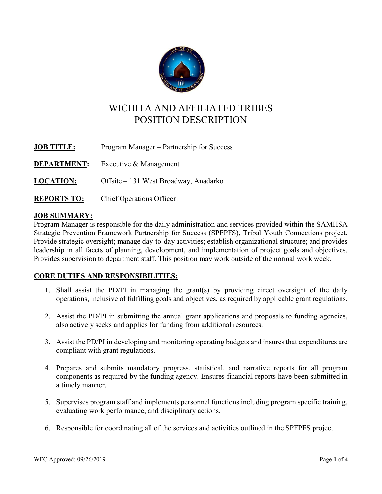

# WICHITA AND AFFILIATED TRIBES POSITION DESCRIPTION

| <b>JOB TITLE:</b>  | Program Manager – Partnership for Success |
|--------------------|-------------------------------------------|
| <b>DEPARTMENT:</b> | Executive & Management                    |
| <b>LOCATION:</b>   | Offsite - 131 West Broadway, Anadarko     |
| <b>REPORTS TO:</b> | <b>Chief Operations Officer</b>           |

## JOB SUMMARY:

Program Manager is responsible for the daily administration and services provided within the SAMHSA Strategic Prevention Framework Partnership for Success (SPFPFS), Tribal Youth Connections project. Provide strategic oversight; manage day-to-day activities; establish organizational structure; and provides leadership in all facets of planning, development, and implementation of project goals and objectives. Provides supervision to department staff. This position may work outside of the normal work week.

## CORE DUTIES AND RESPONSIBILITIES:

- 1. Shall assist the PD/PI in managing the grant(s) by providing direct oversight of the daily operations, inclusive of fulfilling goals and objectives, as required by applicable grant regulations.
- 2. Assist the PD/PI in submitting the annual grant applications and proposals to funding agencies, also actively seeks and applies for funding from additional resources.
- 3. Assist the PD/PI in developing and monitoring operating budgets and insures that expenditures are compliant with grant regulations.
- 4. Prepares and submits mandatory progress, statistical, and narrative reports for all program components as required by the funding agency. Ensures financial reports have been submitted in a timely manner.
- 5. Supervises program staff and implements personnel functions including program specific training, evaluating work performance, and disciplinary actions.
- 6. Responsible for coordinating all of the services and activities outlined in the SPFPFS project.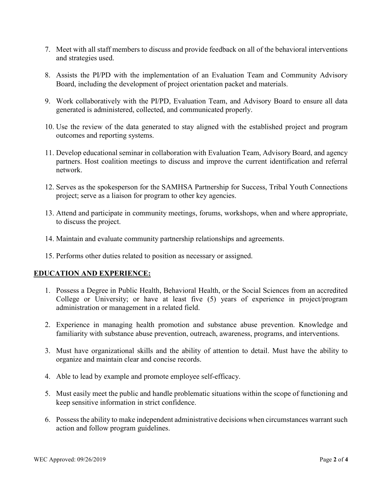- 7. Meet with all staff members to discuss and provide feedback on all of the behavioral interventions and strategies used.
- 8. Assists the PI/PD with the implementation of an Evaluation Team and Community Advisory Board, including the development of project orientation packet and materials.
- 9. Work collaboratively with the PI/PD, Evaluation Team, and Advisory Board to ensure all data generated is administered, collected, and communicated properly.
- 10. Use the review of the data generated to stay aligned with the established project and program outcomes and reporting systems.
- 11. Develop educational seminar in collaboration with Evaluation Team, Advisory Board, and agency partners. Host coalition meetings to discuss and improve the current identification and referral network.
- 12. Serves as the spokesperson for the SAMHSA Partnership for Success, Tribal Youth Connections project; serve as a liaison for program to other key agencies.
- 13. Attend and participate in community meetings, forums, workshops, when and where appropriate, to discuss the project.
- 14. Maintain and evaluate community partnership relationships and agreements.
- 15. Performs other duties related to position as necessary or assigned.

#### EDUCATION AND EXPERIENCE:

- 1. Possess a Degree in Public Health, Behavioral Health, or the Social Sciences from an accredited College or University; or have at least five (5) years of experience in project/program administration or management in a related field.
- 2. Experience in managing health promotion and substance abuse prevention. Knowledge and familiarity with substance abuse prevention, outreach, awareness, programs, and interventions.
- 3. Must have organizational skills and the ability of attention to detail. Must have the ability to organize and maintain clear and concise records.
- 4. Able to lead by example and promote employee self-efficacy.
- 5. Must easily meet the public and handle problematic situations within the scope of functioning and keep sensitive information in strict confidence.
- 6. Possess the ability to make independent administrative decisions when circumstances warrant such action and follow program guidelines.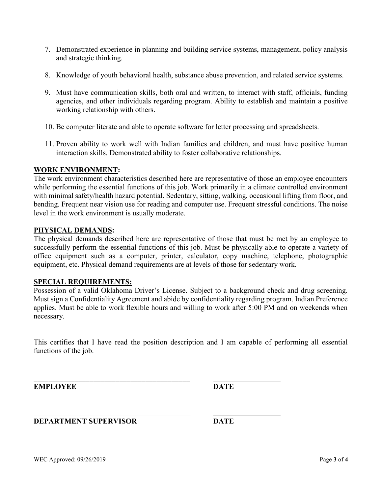- 7. Demonstrated experience in planning and building service systems, management, policy analysis and strategic thinking.
- 8. Knowledge of youth behavioral health, substance abuse prevention, and related service systems.
- 9. Must have communication skills, both oral and written, to interact with staff, officials, funding agencies, and other individuals regarding program. Ability to establish and maintain a positive working relationship with others.
- 10. Be computer literate and able to operate software for letter processing and spreadsheets.
- 11. Proven ability to work well with Indian families and children, and must have positive human interaction skills. Demonstrated ability to foster collaborative relationships.

#### WORK ENVIRONMENT:

The work environment characteristics described here are representative of those an employee encounters while performing the essential functions of this job. Work primarily in a climate controlled environment with minimal safety/health hazard potential. Sedentary, sitting, walking, occasional lifting from floor, and bending. Frequent near vision use for reading and computer use. Frequent stressful conditions. The noise level in the work environment is usually moderate.

#### PHYSICAL DEMANDS:

The physical demands described here are representative of those that must be met by an employee to successfully perform the essential functions of this job. Must be physically able to operate a variety of office equipment such as a computer, printer, calculator, copy machine, telephone, photographic equipment, etc. Physical demand requirements are at levels of those for sedentary work.

#### SPECIAL REQUIREMENTS:

Possession of a valid Oklahoma Driver's License. Subject to a background check and drug screening. Must sign a Confidentiality Agreement and abide by confidentiality regarding program. Indian Preference applies. Must be able to work flexible hours and willing to work after 5:00 PM and on weekends when necessary.

This certifies that I have read the position description and I am capable of performing all essential functions of the job.

EMPLOYEE DATE

### DEPARTMENT SUPERVISOR DATE

\_\_\_\_\_\_\_\_\_\_\_\_\_\_\_\_\_\_\_\_\_\_\_\_\_\_\_\_\_\_\_\_\_\_\_\_\_\_\_\_\_\_